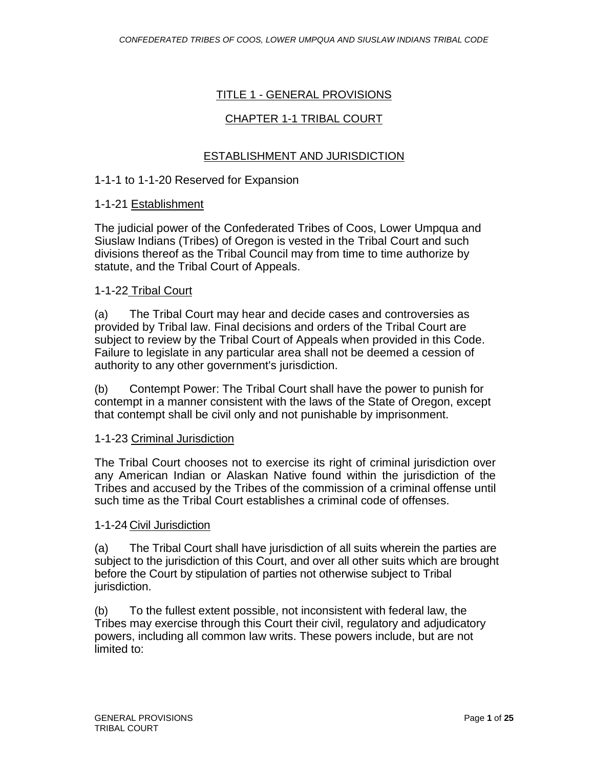### TITLE 1 - GENERAL PROVISIONS

### CHAPTER 1-1 TRIBAL COURT

### ESTABLISHMENT AND JURISDICTION

#### 1-1-1 to 1-1-20 Reserved for Expansion

#### 1-1-21 Establishment

The judicial power of the Confederated Tribes of Coos, Lower Umpqua and Siuslaw Indians (Tribes) of Oregon is vested in the Tribal Court and such divisions thereof as the Tribal Council may from time to time authorize by statute, and the Tribal Court of Appeals.

#### 1-1-22 Tribal Court

(a) The Tribal Court may hear and decide cases and controversies as provided by Tribal law. Final decisions and orders of the Tribal Court are subject to review by the Tribal Court of Appeals when provided in this Code. Failure to legislate in any particular area shall not be deemed a cession of authority to any other government's jurisdiction.

(b) Contempt Power: The Tribal Court shall have the power to punish for contempt in a manner consistent with the laws of the State of Oregon, except that contempt shall be civil only and not punishable by imprisonment.

### 1-1-23 Criminal Jurisdiction

The Tribal Court chooses not to exercise its right of criminal jurisdiction over any American Indian or Alaskan Native found within the jurisdiction of the Tribes and accused by the Tribes of the commission of a criminal offense until such time as the Tribal Court establishes a criminal code of offenses.

#### 1-1-24 Civil Jurisdiction

(a) The Tribal Court shall have jurisdiction of all suits wherein the parties are subject to the jurisdiction of this Court, and over all other suits which are brought before the Court by stipulation of parties not otherwise subject to Tribal jurisdiction.

(b) To the fullest extent possible, not inconsistent with federal law, the Tribes may exercise through this Court their civil, regulatory and adjudicatory powers, including all common law writs. These powers include, but are not limited to: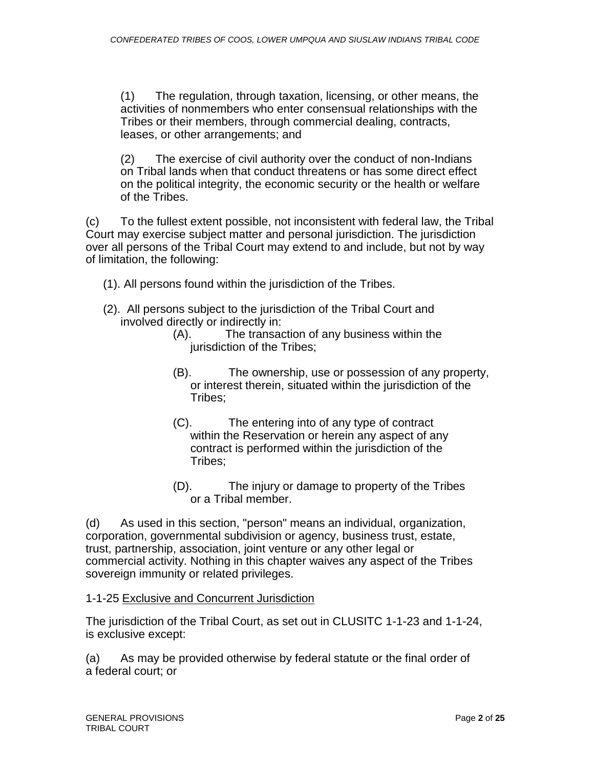(1) The regulation, through taxation, licensing, or other means, the activities of nonmembers who enter consensual relationships with the Tribes or their members, through commercial dealing, contracts, leases, or other arrangements; and

(2) The exercise of civil authority over the conduct of non-Indians on Tribal lands when that conduct threatens or has some direct effect on the political integrity, the economic security or the health or welfare of the Tribes.

(c) To the fullest extent possible, not inconsistent with federal law, the Tribal Court may exercise subject matter and personal jurisdiction. The jurisdiction over all persons of the Tribal Court may extend to and include, but not by way of limitation, the following:

- (1). All persons found within the jurisdiction of the Tribes.
- (2). All persons subject to the jurisdiction of the Tribal Court and involved directly or indirectly in:
	- (A). The transaction of any business within the jurisdiction of the Tribes;
	- (B). The ownership, use or possession of any property, or interest therein, situated within the jurisdiction of the Tribes;
	- (C). The entering into of any type of contract within the Reservation or herein any aspect of any contract is performed within the jurisdiction of the Tribes;
	- (D). The injury or damage to property of the Tribes or a Tribal member.

(d) As used in this section, "person" means an individual, organization, corporation, governmental subdivision or agency, business trust, estate, trust, partnership, association, joint venture or any other legal or commercial activity. Nothing in this chapter waives any aspect of the Tribes sovereign immunity or related privileges.

1-1-25 Exclusive and Concurrent Jurisdiction

The jurisdiction of the Tribal Court, as set out in CLUSITC 1-1-23 and 1-1-24, is exclusive except:

(a) As may be provided otherwise by federal statute or the final order of a federal court; or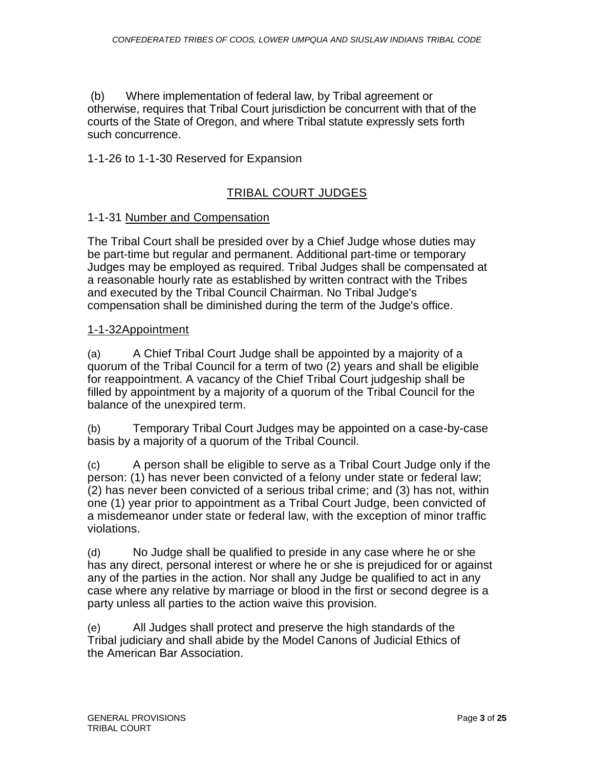(b) Where implementation of federal law, by Tribal agreement or otherwise, requires that Tribal Court jurisdiction be concurrent with that of the courts of the State of Oregon, and where Tribal statute expressly sets forth such concurrence.

# 1-1-26 to 1-1-30 Reserved for Expansion

# TRIBAL COURT JUDGES

### 1-1-31 Number and Compensation

The Tribal Court shall be presided over by a Chief Judge whose duties may be part-time but regular and permanent. Additional part-time or temporary Judges may be employed as required. Tribal Judges shall be compensated at a reasonable hourly rate as established by written contract with the Tribes and executed by the Tribal Council Chairman. No Tribal Judge's compensation shall be diminished during the term of the Judge's office.

### 1-1-32Appointment

(a) A Chief Tribal Court Judge shall be appointed by a majority of a quorum of the Tribal Council for a term of two (2) years and shall be eligible for reappointment. A vacancy of the Chief Tribal Court judgeship shall be filled by appointment by a majority of a quorum of the Tribal Council for the balance of the unexpired term.

(b) Temporary Tribal Court Judges may be appointed on a case-by-case basis by a majority of a quorum of the Tribal Council.

(c) A person shall be eligible to serve as a Tribal Court Judge only if the person: (1) has never been convicted of a felony under state or federal law; (2) has never been convicted of a serious tribal crime; and (3) has not, within one (1) year prior to appointment as a Tribal Court Judge, been convicted of a misdemeanor under state or federal law, with the exception of minor traffic violations.

(d) No Judge shall be qualified to preside in any case where he or she has any direct, personal interest or where he or she is prejudiced for or against any of the parties in the action. Nor shall any Judge be qualified to act in any case where any relative by marriage or blood in the first or second degree is a party unless all parties to the action waive this provision.

(e) All Judges shall protect and preserve the high standards of the Tribal judiciary and shall abide by the Model Canons of Judicial Ethics of the American Bar Association.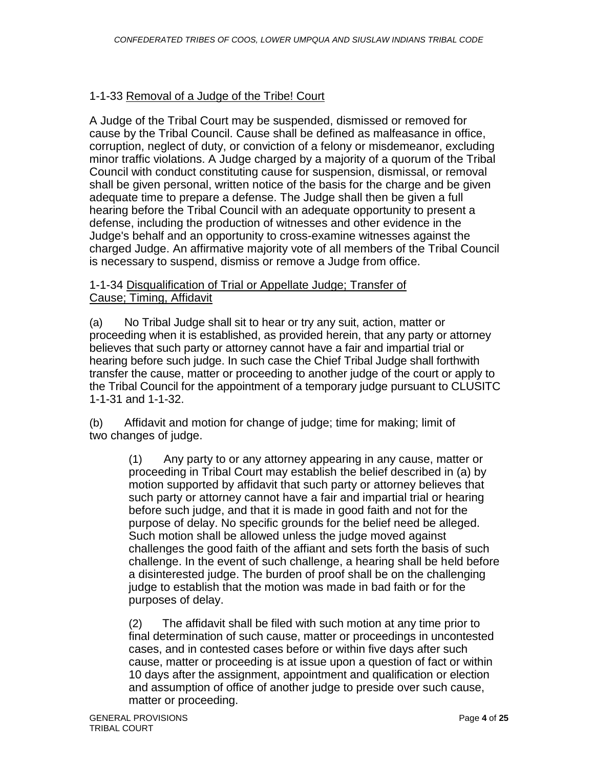# 1-1-33 Removal of a Judge of the Tribe! Court

A Judge of the Tribal Court may be suspended, dismissed or removed for cause by the Tribal Council. Cause shall be defined as malfeasance in office, corruption, neglect of duty, or conviction of a felony or misdemeanor, excluding minor traffic violations. A Judge charged by a majority of a quorum of the Tribal Council with conduct constituting cause for suspension, dismissal, or removal shall be given personal, written notice of the basis for the charge and be given adequate time to prepare a defense. The Judge shall then be given a full hearing before the Tribal Council with an adequate opportunity to present a defense, including the production of witnesses and other evidence in the Judge's behalf and an opportunity to cross-examine witnesses against the charged Judge. An affirmative majority vote of all members of the Tribal Council is necessary to suspend, dismiss or remove a Judge from office.

### 1-1-34 Disqualification of Trial or Appellate Judge; Transfer of Cause; Timing, Affidavit

(a) No Tribal Judge shall sit to hear or try any suit, action, matter or proceeding when it is established, as provided herein, that any party or attorney believes that such party or attorney cannot have a fair and impartial trial or hearing before such judge. In such case the Chief Tribal Judge shall forthwith transfer the cause, matter or proceeding to another judge of the court or apply to the Tribal Council for the appointment of a temporary judge pursuant to CLUSITC 1-1-31 and 1-1-32.

(b) Affidavit and motion for change of judge; time for making; limit of two changes of judge.

> (1) Any party to or any attorney appearing in any cause, matter or proceeding in Tribal Court may establish the belief described in (a) by motion supported by affidavit that such party or attorney believes that such party or attorney cannot have a fair and impartial trial or hearing before such judge, and that it is made in good faith and not for the purpose of delay. No specific grounds for the belief need be alleged. Such motion shall be allowed unless the judge moved against challenges the good faith of the affiant and sets forth the basis of such challenge. In the event of such challenge, a hearing shall be held before a disinterested judge. The burden of proof shall be on the challenging judge to establish that the motion was made in bad faith or for the purposes of delay.

(2) The affidavit shall be filed with such motion at any time prior to final determination of such cause, matter or proceedings in uncontested cases, and in contested cases before or within five days after such cause, matter or proceeding is at issue upon a question of fact or within 10 days after the assignment, appointment and qualification or election and assumption of office of another judge to preside over such cause, matter or proceeding.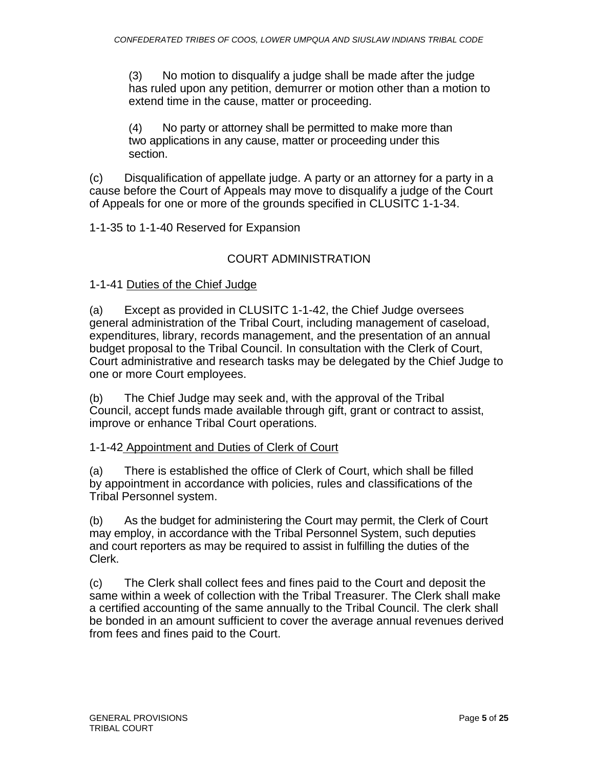(3) No motion to disqualify a judge shall be made after the judge has ruled upon any petition, demurrer or motion other than a motion to extend time in the cause, matter or proceeding.

(4) No party or attorney shall be permitted to make more than two applications in any cause, matter or proceeding under this section.

(c) Disqualification of appellate judge. A party or an attorney for a party in a cause before the Court of Appeals may move to disqualify a judge of the Court of Appeals for one or more of the grounds specified in CLUSITC 1-1-34.

1-1-35 to 1-1-40 Reserved for Expansion

# COURT ADMINISTRATION

1-1-41 Duties of the Chief Judge

(a) Except as provided in CLUSITC 1-1-42, the Chief Judge oversees general administration of the Tribal Court, including management of caseload, expenditures, library, records management, and the presentation of an annual budget proposal to the Tribal Council. In consultation with the Clerk of Court, Court administrative and research tasks may be delegated by the Chief Judge to one or more Court employees.

(b) The Chief Judge may seek and, with the approval of the Tribal Council, accept funds made available through gift, grant or contract to assist, improve or enhance Tribal Court operations.

# 1-1-42 Appointment and Duties of Clerk of Court

(a) There is established the office of Clerk of Court, which shall be filled by appointment in accordance with policies, rules and classifications of the Tribal Personnel system.

(b) As the budget for administering the Court may permit, the Clerk of Court may employ, in accordance with the Tribal Personnel System, such deputies and court reporters as may be required to assist in fulfilling the duties of the Clerk.

(c) The Clerk shall collect fees and fines paid to the Court and deposit the same within a week of collection with the Tribal Treasurer. The Clerk shall make a certified accounting of the same annually to the Tribal Council. The clerk shall be bonded in an amount sufficient to cover the average annual revenues derived from fees and fines paid to the Court.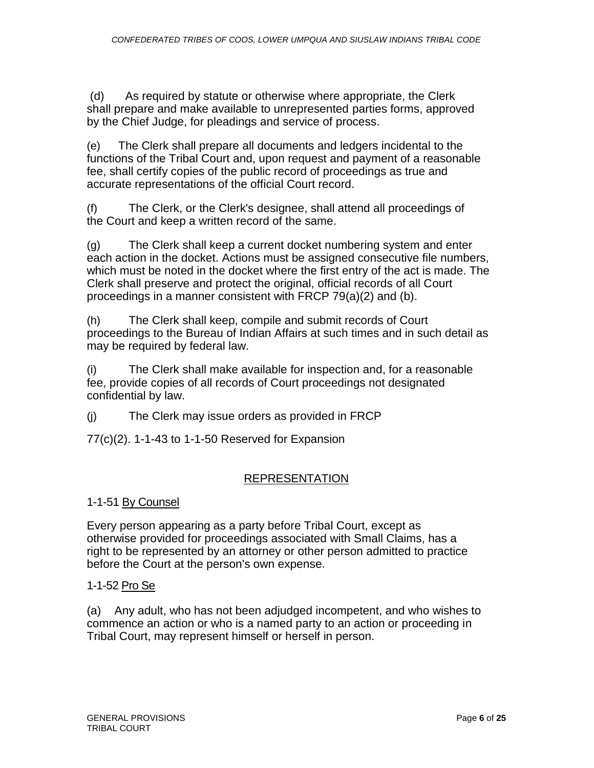(d) As required by statute or otherwise where appropriate, the Clerk shall prepare and make available to unrepresented parties forms, approved by the Chief Judge, for pleadings and service of process.

(e) The Clerk shall prepare all documents and ledgers incidental to the functions of the Tribal Court and, upon request and payment of a reasonable fee, shall certify copies of the public record of proceedings as true and accurate representations of the official Court record.

(f) The Clerk, or the Clerk's designee, shall attend all proceedings of the Court and keep a written record of the same.

(g) The Clerk shall keep a current docket numbering system and enter each action in the docket. Actions must be assigned consecutive file numbers, which must be noted in the docket where the first entry of the act is made. The Clerk shall preserve and protect the original, official records of all Court proceedings in a manner consistent with FRCP 79(a)(2) and (b).

(h) The Clerk shall keep, compile and submit records of Court proceedings to the Bureau of Indian Affairs at such times and in such detail as may be required by federal law.

(i) The Clerk shall make available for inspection and, for a reasonable fee, provide copies of all records of Court proceedings not designated confidential by law.

(j) The Clerk may issue orders as provided in FRCP

77(c)(2). 1-1-43 to 1-1-50 Reserved for Expansion

# REPRESENTATION

1-1-51 By Counsel

Every person appearing as a party before Tribal Court, except as otherwise provided for proceedings associated with Small Claims, has a right to be represented by an attorney or other person admitted to practice before the Court at the person's own expense.

# 1-1-52 Pro Se

(a) Any adult, who has not been adjudged incompetent, and who wishes to commence an action or who is a named party to an action or proceeding in Tribal Court, may represent himself or herself in person.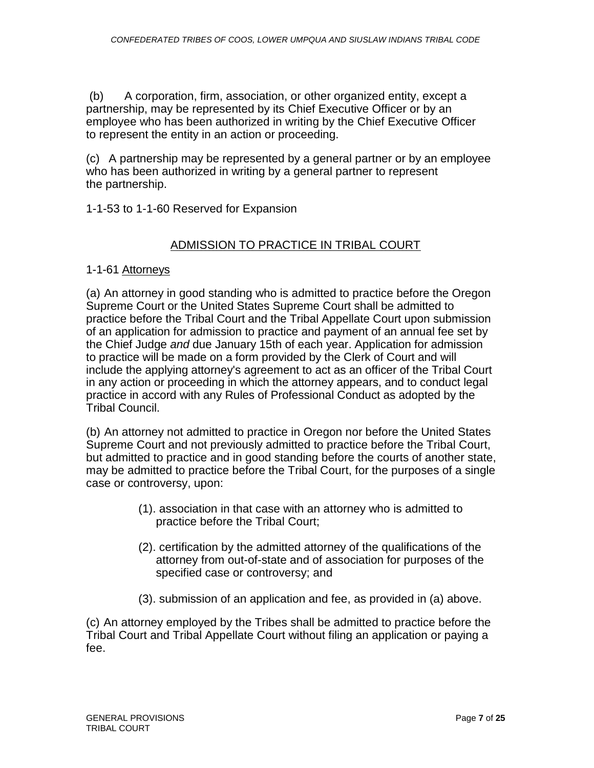(b) A corporation, firm, association, or other organized entity, except a partnership, may be represented by its Chief Executive Officer or by an employee who has been authorized in writing by the Chief Executive Officer to represent the entity in an action or proceeding.

(c) A partnership may be represented by a general partner or by an employee who has been authorized in writing by a general partner to represent the partnership.

1-1-53 to 1-1-60 Reserved for Expansion

# ADMISSION TO PRACTICE IN TRIBAL COURT

# 1-1-61 Attorneys

(a) An attorney in good standing who is admitted to practice before the Oregon Supreme Court or the United States Supreme Court shall be admitted to practice before the Tribal Court and the Tribal Appellate Court upon submission of an application for admission to practice and payment of an annual fee set by the Chief Judge *and* due January 15th of each year. Application for admission to practice will be made on a form provided by the Clerk of Court and will include the applying attorney's agreement to act as an officer of the Tribal Court in any action or proceeding in which the attorney appears, and to conduct legal practice in accord with any Rules of Professional Conduct as adopted by the Tribal Council.

(b) An attorney not admitted to practice in Oregon nor before the United States Supreme Court and not previously admitted to practice before the Tribal Court, but admitted to practice and in good standing before the courts of another state, may be admitted to practice before the Tribal Court, for the purposes of a single case or controversy, upon:

- (1). association in that case with an attorney who is admitted to practice before the Tribal Court;
- (2). certification by the admitted attorney of the qualifications of the attorney from out-of-state and of association for purposes of the specified case or controversy; and
- (3). submission of an application and fee, as provided in (a) above.

(c) An attorney employed by the Tribes shall be admitted to practice before the Tribal Court and Tribal Appellate Court without filing an application or paying a fee.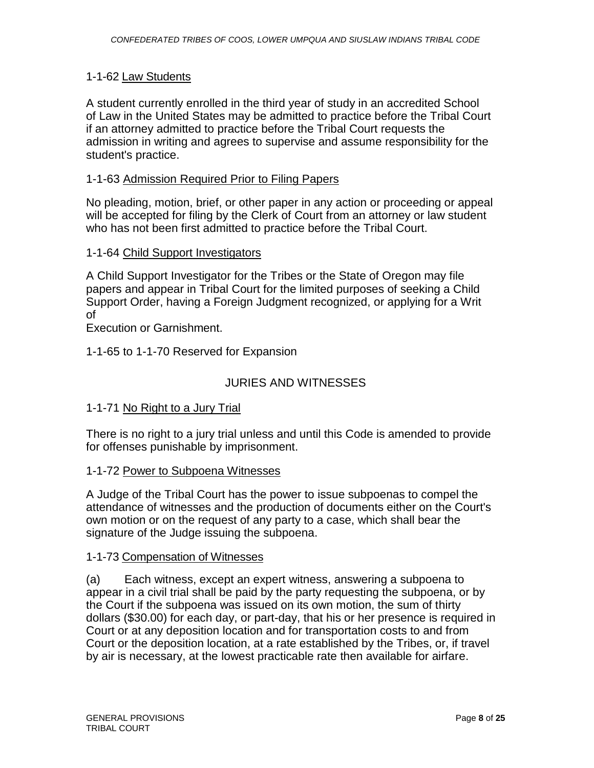# 1-1-62 Law Students

A student currently enrolled in the third year of study in an accredited School of Law in the United States may be admitted to practice before the Tribal Court if an attorney admitted to practice before the Tribal Court requests the admission in writing and agrees to supervise and assume responsibility for the student's practice.

### 1-1-63 Admission Required Prior to Filing Papers

No pleading, motion, brief, or other paper in any action or proceeding or appeal will be accepted for filing by the Clerk of Court from an attorney or law student who has not been first admitted to practice before the Tribal Court.

### 1-1-64 Child Support Investigators

A Child Support Investigator for the Tribes or the State of Oregon may file papers and appear in Tribal Court for the limited purposes of seeking a Child Support Order, having a Foreign Judgment recognized, or applying for a Writ of

Execution or Garnishment.

### 1-1-65 to 1-1-70 Reserved for Expansion

# JURIES AND WITNESSES

### 1-1-71 No Right to a Jury Trial

There is no right to a jury trial unless and until this Code is amended to provide for offenses punishable by imprisonment.

### 1-1-72 Power to Subpoena Witnesses

A Judge of the Tribal Court has the power to issue subpoenas to compel the attendance of witnesses and the production of documents either on the Court's own motion or on the request of any party to a case, which shall bear the signature of the Judge issuing the subpoena.

### 1-1-73 Compensation of Witnesses

(a) Each witness, except an expert witness, answering a subpoena to appear in a civil trial shall be paid by the party requesting the subpoena, or by the Court if the subpoena was issued on its own motion, the sum of thirty dollars (\$30.00) for each day, or part-day, that his or her presence is required in Court or at any deposition location and for transportation costs to and from Court or the deposition location, at a rate established by the Tribes, or, if travel by air is necessary, at the lowest practicable rate then available for airfare.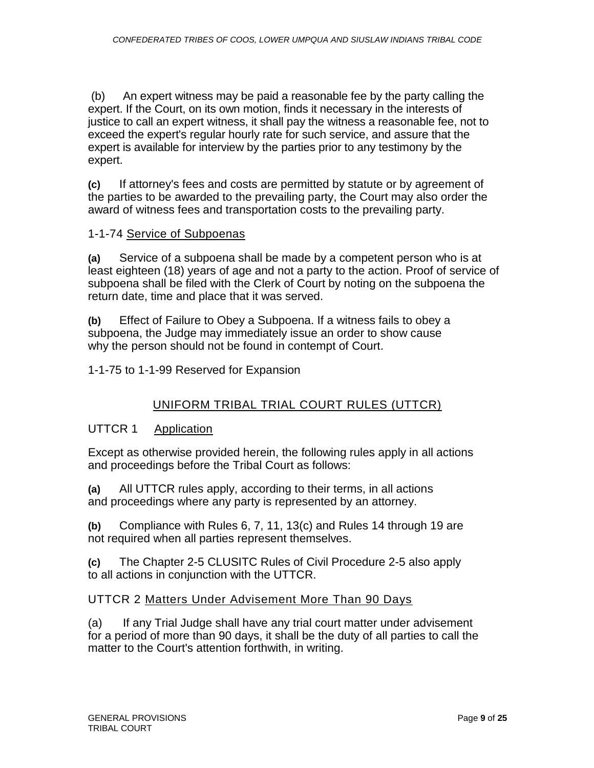(b) An expert witness may be paid a reasonable fee by the party calling the expert. If the Court, on its own motion, finds it necessary in the interests of justice to call an expert witness, it shall pay the witness a reasonable fee, not to exceed the expert's regular hourly rate for such service, and assure that the expert is available for interview by the parties prior to any testimony by the expert.

**(c)** If attorney's fees and costs are permitted by statute or by agreement of the parties to be awarded to the prevailing party, the Court may also order the award of witness fees and transportation costs to the prevailing party.

# 1-1-74 Service of Subpoenas

**(a)** Service of a subpoena shall be made by a competent person who is at least eighteen (18) years of age and not a party to the action. Proof of service of subpoena shall be filed with the Clerk of Court by noting on the subpoena the return date, time and place that it was served.

**(b)** Effect of Failure to Obey a Subpoena. If a witness fails to obey a subpoena, the Judge may immediately issue an order to show cause why the person should not be found in contempt of Court.

1-1-75 to 1-1-99 Reserved for Expansion

# UNIFORM TRIBAL TRIAL COURT RULES (UTTCR)

# UTTCR 1 Application

Except as otherwise provided herein, the following rules apply in all actions and proceedings before the Tribal Court as follows:

**(a)** All UTTCR rules apply, according to their terms, in all actions and proceedings where any party is represented by an attorney.

**(b)** Compliance with Rules 6, 7, 11, 13(c) and Rules 14 through 19 are not required when all parties represent themselves.

**(c)** The Chapter 2-5 CLUSITC Rules of Civil Procedure 2-5 also apply to all actions in conjunction with the UTTCR.

# UTTCR 2 Matters Under Advisement More Than 90 Days

(a) If any Trial Judge shall have any trial court matter under advisement for a period of more than 90 days, it shall be the duty of all parties to call the matter to the Court's attention forthwith, in writing.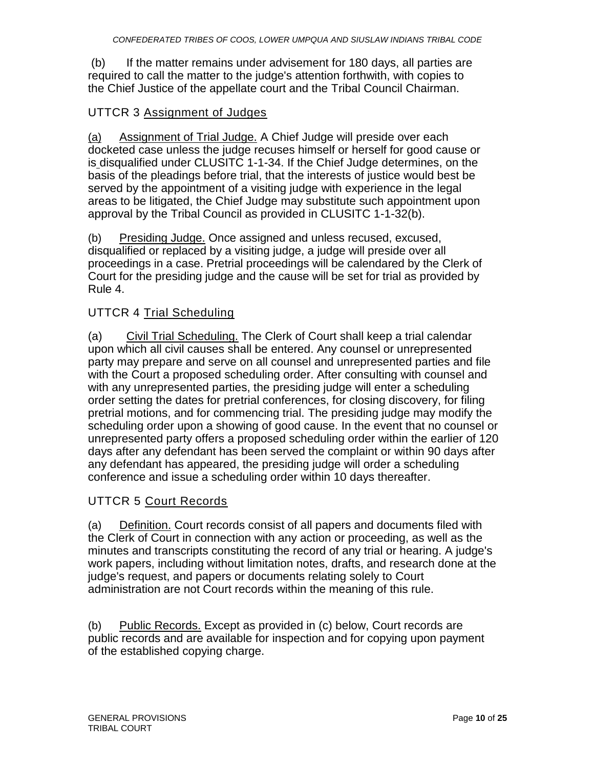(b) If the matter remains under advisement for 180 days, all parties are required to call the matter to the judge's attention forthwith, with copies to the Chief Justice of the appellate court and the Tribal Council Chairman.

# UTTCR 3 Assignment of Judges

(a) Assignment of Trial Judge. A Chief Judge will preside over each docketed case unless the judge recuses himself or herself for good cause or is disqualified under CLUSITC 1-1-34. If the Chief Judge determines, on the basis of the pleadings before trial, that the interests of justice would best be served by the appointment of a visiting judge with experience in the legal areas to be litigated, the Chief Judge may substitute such appointment upon approval by the Tribal Council as provided in CLUSITC 1-1-32(b).

(b) Presiding Judge. Once assigned and unless recused, excused, disqualified or replaced by a visiting judge, a judge will preside over all proceedings in a case. Pretrial proceedings will be calendared by the Clerk of Court for the presiding judge and the cause will be set for trial as provided by Rule 4.

# UTTCR 4 Trial Scheduling

(a) Civil Trial Scheduling. The Clerk of Court shall keep a trial calendar upon which all civil causes shall be entered. Any counsel or unrepresented party may prepare and serve on all counsel and unrepresented parties and file with the Court a proposed scheduling order. After consulting with counsel and with any unrepresented parties, the presiding judge will enter a scheduling order setting the dates for pretrial conferences, for closing discovery, for filing pretrial motions, and for commencing trial. The presiding judge may modify the scheduling order upon a showing of good cause. In the event that no counsel or unrepresented party offers a proposed scheduling order within the earlier of 120 days after any defendant has been served the complaint or within 90 days after any defendant has appeared, the presiding judge will order a scheduling conference and issue a scheduling order within 10 days thereafter.

# UTTCR 5 Court Records

(a) Definition. Court records consist of all papers and documents filed with the Clerk of Court in connection with any action or proceeding, as well as the minutes and transcripts constituting the record of any trial or hearing. A judge's work papers, including without limitation notes, drafts, and research done at the judge's request, and papers or documents relating solely to Court administration are not Court records within the meaning of this rule.

(b) Public Records. Except as provided in (c) below, Court records are public records and are available for inspection and for copying upon payment of the established copying charge.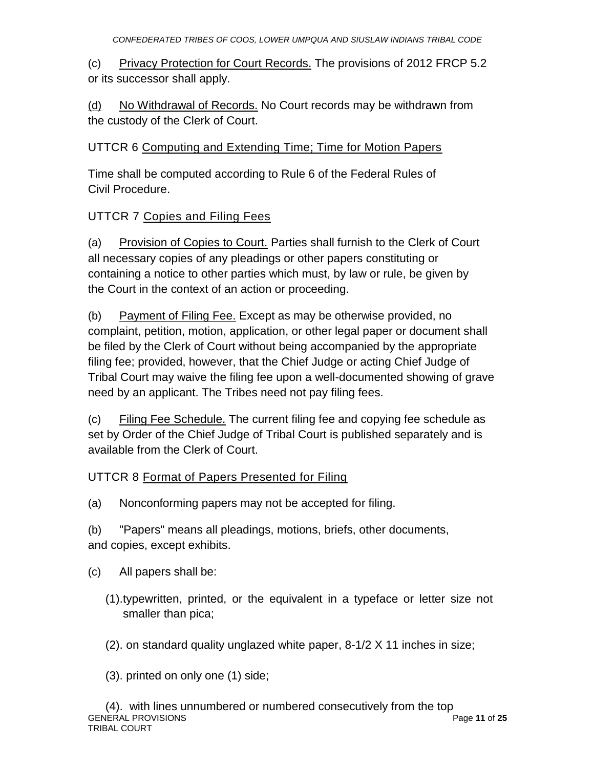(c) Privacy Protection for Court Records. The provisions of 2012 FRCP 5.2 or its successor shall apply.

(d) No Withdrawal of Records. No Court records may be withdrawn from the custody of the Clerk of Court.

# UTTCR 6 Computing and Extending Time; Time for Motion Papers

Time shall be computed according to Rule 6 of the Federal Rules of Civil Procedure.

# UTTCR 7 Copies and Filing Fees

(a) Provision of Copies to Court. Parties shall furnish to the Clerk of Court all necessary copies of any pleadings or other papers constituting or containing a notice to other parties which must, by law or rule, be given by the Court in the context of an action or proceeding.

(b) Payment of Filing Fee. Except as may be otherwise provided, no complaint, petition, motion, application, or other legal paper or document shall be filed by the Clerk of Court without being accompanied by the appropriate filing fee; provided, however, that the Chief Judge or acting Chief Judge of Tribal Court may waive the filing fee upon a well-documented showing of grave need by an applicant. The Tribes need not pay filing fees.

(c) Filing Fee Schedule. The current filing fee and copying fee schedule as set by Order of the Chief Judge of Tribal Court is published separately and is available from the Clerk of Court.

# UTTCR 8 Format of Papers Presented for Filing

(a) Nonconforming papers may not be accepted for filing.

(b) "Papers" means all pleadings, motions, briefs, other documents, and copies, except exhibits.

(c) All papers shall be:

- (1).typewritten, printed, or the equivalent in a typeface or letter size not smaller than pica;
- (2). on standard quality unglazed white paper, 8-1/2 X 11 inches in size;

(3). printed on only one (1) side;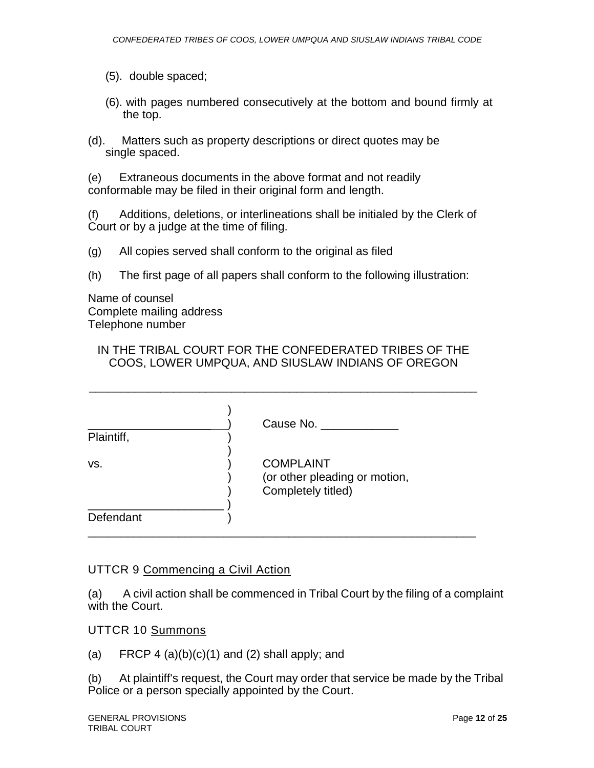- (5). double spaced;
- (6). with pages numbered consecutively at the bottom and bound firmly at the top.
- (d). Matters such as property descriptions or direct quotes may be single spaced.

(e) Extraneous documents in the above format and not readily conformable may be filed in their original form and length.

(f) Additions, deletions, or interlineations shall be initialed by the Clerk of Court or by a judge at the time of filing.

- (g) All copies served shall conform to the original as filed
- (h) The first page of all papers shall conform to the following illustration:

Name of counsel Complete mailing address Telephone number

### IN THE TRIBAL COURT FOR THE CONFEDERATED TRIBES OF THE COOS, LOWER UMPQUA, AND SIUSLAW INDIANS OF OREGON

\_\_\_\_\_\_\_\_\_\_\_\_\_\_\_\_\_\_\_\_\_\_\_\_\_\_\_\_\_\_\_\_\_\_\_\_\_\_\_\_\_\_\_\_\_\_\_\_\_\_\_\_\_\_\_\_\_\_\_\_

| Plaintiff, | Cause No.                                                               |
|------------|-------------------------------------------------------------------------|
| VS.        | <b>COMPLAINT</b><br>(or other pleading or motion,<br>Completely titled) |
| Defendant  |                                                                         |

# UTTCR 9 Commencing a Civil Action

(a) A civil action shall be commenced in Tribal Court by the filing of a complaint with the Court.

### UTTCR 10 Summons

(a) FRCP 4  $(a)(b)(c)(1)$  and  $(2)$  shall apply; and

(b) At plaintiff's request, the Court may order that service be made by the Tribal Police or a person specially appointed by the Court.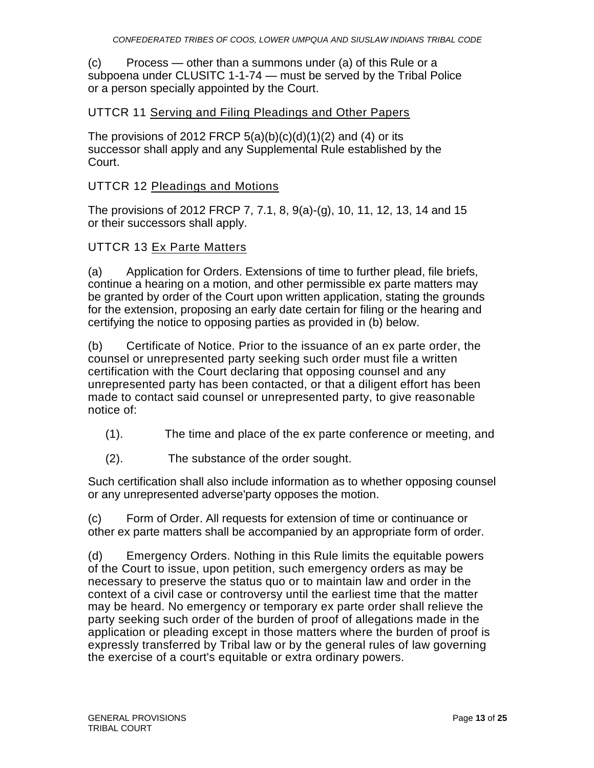(c) Process — other than a summons under (a) of this Rule or a subpoena under CLUSITC 1-1-74 — must be served by the Tribal Police or a person specially appointed by the Court.

### UTTCR 11 Serving and Filing Pleadings and Other Papers

The provisions of 2012 FRCP  $5(a)(b)(c)(d)(1)(2)$  and (4) or its successor shall apply and any Supplemental Rule established by the Court.

### UTTCR 12 Pleadings and Motions

The provisions of 2012 FRCP 7, 7.1, 8, 9(a)-(g), 10, 11, 12, 13, 14 and 15 or their successors shall apply.

### UTTCR 13 Ex Parte Matters

(a) Application for Orders. Extensions of time to further plead, file briefs, continue a hearing on a motion, and other permissible ex parte matters may be granted by order of the Court upon written application, stating the grounds for the extension, proposing an early date certain for filing or the hearing and certifying the notice to opposing parties as provided in (b) below.

(b) Certificate of Notice. Prior to the issuance of an ex parte order, the counsel or unrepresented party seeking such order must file a written certification with the Court declaring that opposing counsel and any unrepresented party has been contacted, or that a diligent effort has been made to contact said counsel or unrepresented party, to give reasonable notice of:

- (1). The time and place of the ex parte conference or meeting, and
- (2). The substance of the order sought.

Such certification shall also include information as to whether opposing counsel or any unrepresented adverse'party opposes the motion.

(c) Form of Order. All requests for extension of time or continuance or other ex parte matters shall be accompanied by an appropriate form of order.

(d) Emergency Orders. Nothing in this Rule limits the equitable powers of the Court to issue, upon petition, such emergency orders as may be necessary to preserve the status quo or to maintain law and order in the context of a civil case or controversy until the earliest time that the matter may be heard. No emergency or temporary ex parte order shall relieve the party seeking such order of the burden of proof of allegations made in the application or pleading except in those matters where the burden of proof is expressly transferred by Tribal law or by the general rules of law governing the exercise of a court's equitable or extra ordinary powers.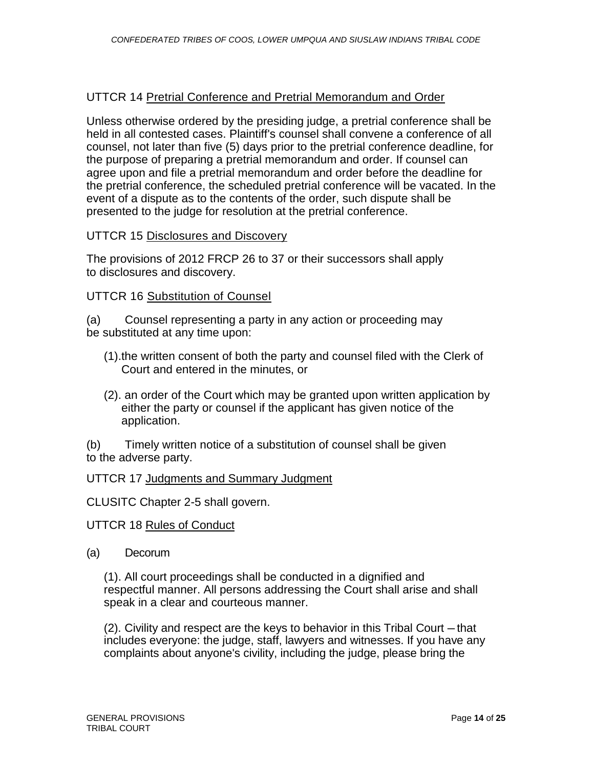#### UTTCR 14 Pretrial Conference and Pretrial Memorandum and Order

Unless otherwise ordered by the presiding judge, a pretrial conference shall be held in all contested cases. Plaintiff's counsel shall convene a conference of all counsel, not later than five (5) days prior to the pretrial conference deadline, for the purpose of preparing a pretrial memorandum and order. If counsel can agree upon and file a pretrial memorandum and order before the deadline for the pretrial conference, the scheduled pretrial conference will be vacated. In the event of a dispute as to the contents of the order, such dispute shall be presented to the judge for resolution at the pretrial conference.

### UTTCR 15 Disclosures and Discovery

The provisions of 2012 FRCP 26 to 37 or their successors shall apply to disclosures and discovery.

### UTTCR 16 Substitution of Counsel

(a) Counsel representing a party in any action or proceeding may be substituted at any time upon:

- (1).the written consent of both the party and counsel filed with the Clerk of Court and entered in the minutes, or
- (2). an order of the Court which may be granted upon written application by either the party or counsel if the applicant has given notice of the application.

(b) Timely written notice of a substitution of counsel shall be given to the adverse party.

#### UTTCR 17 Judgments and Summary Judgment

CLUSITC Chapter 2-5 shall govern.

#### UTTCR 18 Rules of Conduct

(a) Decorum

(1). All court proceedings shall be conducted in a dignified and respectful manner. All persons addressing the Court shall arise and shall speak in a clear and courteous manner.

(2). Civility and respect are the keys to behavior in this Tribal Court — that includes everyone: the judge, staff, lawyers and witnesses. If you have any complaints about anyone's civility, including the judge, please bring the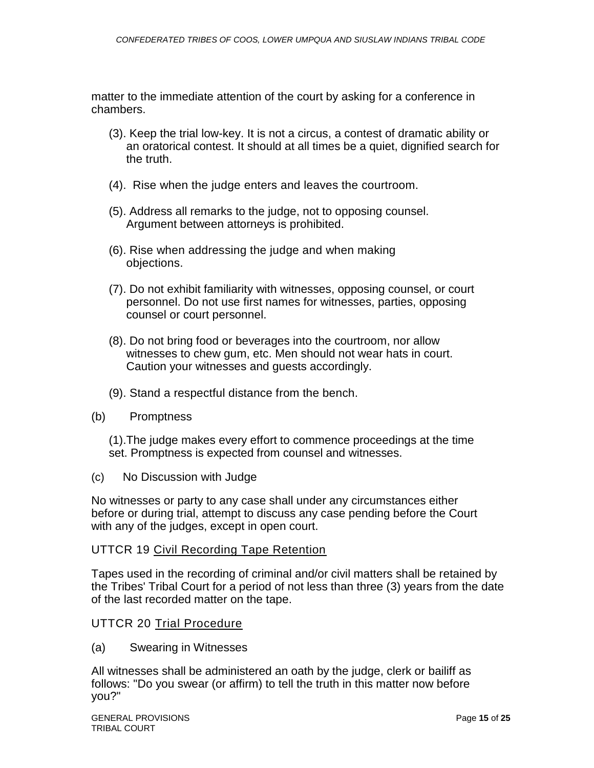matter to the immediate attention of the court by asking for a conference in chambers.

- (3). Keep the trial low-key. It is not a circus, a contest of dramatic ability or an oratorical contest. It should at all times be a quiet, dignified search for the truth.
- (4). Rise when the judge enters and leaves the courtroom.
- (5). Address all remarks to the judge, not to opposing counsel. Argument between attorneys is prohibited.
- (6). Rise when addressing the judge and when making objections.
- (7). Do not exhibit familiarity with witnesses, opposing counsel, or court personnel. Do not use first names for witnesses, parties, opposing counsel or court personnel.
- (8). Do not bring food or beverages into the courtroom, nor allow witnesses to chew gum, etc. Men should not wear hats in court. Caution your witnesses and guests accordingly.
- (9). Stand a respectful distance from the bench.
- (b) Promptness

(1).The judge makes every effort to commence proceedings at the time set. Promptness is expected from counsel and witnesses.

(c) No Discussion with Judge

No witnesses or party to any case shall under any circumstances either before or during trial, attempt to discuss any case pending before the Court with any of the judges, except in open court.

### UTTCR 19 Civil Recording Tape Retention

Tapes used in the recording of criminal and/or civil matters shall be retained by the Tribes' Tribal Court for a period of not less than three (3) years from the date of the last recorded matter on the tape.

### UTTCR 20 Trial Procedure

(a) Swearing in Witnesses

All witnesses shall be administered an oath by the judge, clerk or bailiff as follows: "Do you swear (or affirm) to tell the truth in this matter now before you?"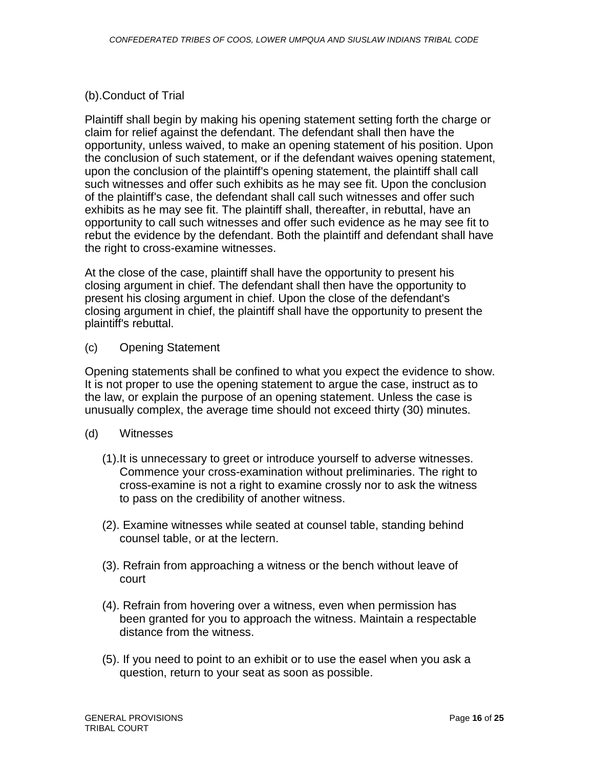# (b).Conduct of Trial

Plaintiff shall begin by making his opening statement setting forth the charge or claim for relief against the defendant. The defendant shall then have the opportunity, unless waived, to make an opening statement of his position. Upon the conclusion of such statement, or if the defendant waives opening statement, upon the conclusion of the plaintiff's opening statement, the plaintiff shall call such witnesses and offer such exhibits as he may see fit. Upon the conclusion of the plaintiff's case, the defendant shall call such witnesses and offer such exhibits as he may see fit. The plaintiff shall, thereafter, in rebuttal, have an opportunity to call such witnesses and offer such evidence as he may see fit to rebut the evidence by the defendant. Both the plaintiff and defendant shall have the right to cross-examine witnesses.

At the close of the case, plaintiff shall have the opportunity to present his closing argument in chief. The defendant shall then have the opportunity to present his closing argument in chief. Upon the close of the defendant's closing argument in chief, the plaintiff shall have the opportunity to present the plaintiff's rebuttal.

(c) Opening Statement

Opening statements shall be confined to what you expect the evidence to show. It is not proper to use the opening statement to argue the case, instruct as to the law, or explain the purpose of an opening statement. Unless the case is unusually complex, the average time should not exceed thirty (30) minutes.

- (d) Witnesses
	- (1).It is unnecessary to greet or introduce yourself to adverse witnesses. Commence your cross-examination without preliminaries. The right to cross-examine is not a right to examine crossly nor to ask the witness to pass on the credibility of another witness.
	- (2). Examine witnesses while seated at counsel table, standing behind counsel table, or at the lectern.
	- (3). Refrain from approaching a witness or the bench without leave of court
	- (4). Refrain from hovering over a witness, even when permission has been granted for you to approach the witness. Maintain a respectable distance from the witness.
	- (5). If you need to point to an exhibit or to use the easel when you ask a question, return to your seat as soon as possible.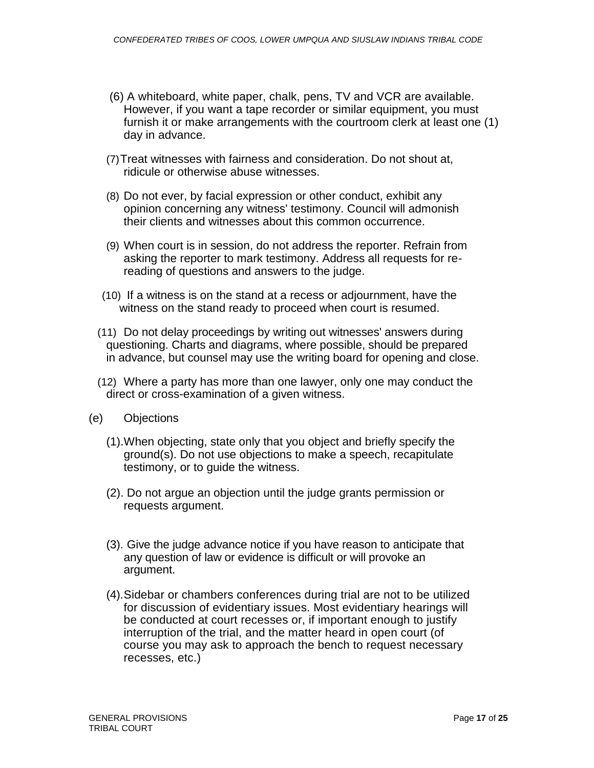- (6) A whiteboard, white paper, chalk, pens, TV and VCR are available. However, if you want a tape recorder or similar equipment, you must furnish it or make arrangements with the courtroom clerk at least one (1) day in advance.
- (7)Treat witnesses with fairness and consideration. Do not shout at, ridicule or otherwise abuse witnesses.
- (8) Do not ever, by facial expression or other conduct, exhibit any opinion concerning any witness' testimony. Council will admonish their clients and witnesses about this common occurrence.
- (9) When court is in session, do not address the reporter. Refrain from asking the reporter to mark testimony. Address all requests for rereading of questions and answers to the judge.
- (10) If a witness is on the stand at a recess or adjournment, have the witness on the stand ready to proceed when court is resumed.
- (11) Do not delay proceedings by writing out witnesses' answers during questioning. Charts and diagrams, where possible, should be prepared in advance, but counsel may use the writing board for opening and close.
- (12) Where a party has more than one lawyer, only one may conduct the direct or cross-examination of a given witness.
- (e) Objections
	- (1).When objecting, state only that you object and briefly specify the ground(s). Do not use objections to make a speech, recapitulate testimony, or to guide the witness.
	- (2). Do not argue an objection until the judge grants permission or requests argument.
	- (3). Give the judge advance notice if you have reason to anticipate that any question of law or evidence is difficult or will provoke an argument.
	- (4).Sidebar or chambers conferences during trial are not to be utilized for discussion of evidentiary issues. Most evidentiary hearings will be conducted at court recesses or, if important enough to justify interruption of the trial, and the matter heard in open court (of course you may ask to approach the bench to request necessary recesses, etc.)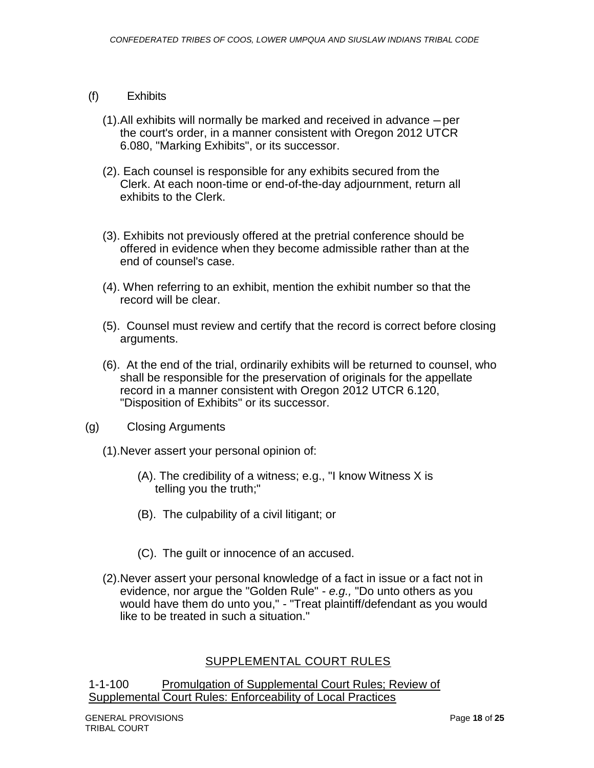### (f) Exhibits

- (1).All exhibits will normally be marked and received in advance per the court's order, in a manner consistent with Oregon 2012 UTCR 6.080, "Marking Exhibits", or its successor.
- (2). Each counsel is responsible for any exhibits secured from the Clerk. At each noon-time or end-of-the-day adjournment, return all exhibits to the Clerk.
- (3). Exhibits not previously offered at the pretrial conference should be offered in evidence when they become admissible rather than at the end of counsel's case.
- (4). When referring to an exhibit, mention the exhibit number so that the record will be clear.
- (5). Counsel must review and certify that the record is correct before closing arguments.
- (6). At the end of the trial, ordinarily exhibits will be returned to counsel, who shall be responsible for the preservation of originals for the appellate record in a manner consistent with Oregon 2012 UTCR 6.120, "Disposition of Exhibits" or its successor.
- (g) Closing Arguments
	- (1).Never assert your personal opinion of:
		- (A). The credibility of a witness; e.g., "I know Witness X is telling you the truth;"
		- (B). The culpability of a civil litigant; or
		- (C). The guilt or innocence of an accused.
	- (2).Never assert your personal knowledge of a fact in issue or a fact not in evidence, nor argue the "Golden Rule" - *e.g.,* "Do unto others as you would have them do unto you," - "Treat plaintiff/defendant as you would like to be treated in such a situation."

### SUPPLEMENTAL COURT RULES

1-1-100 Promulgation of Supplemental Court Rules; Review of Supplemental Court Rules: Enforceability of Local Practices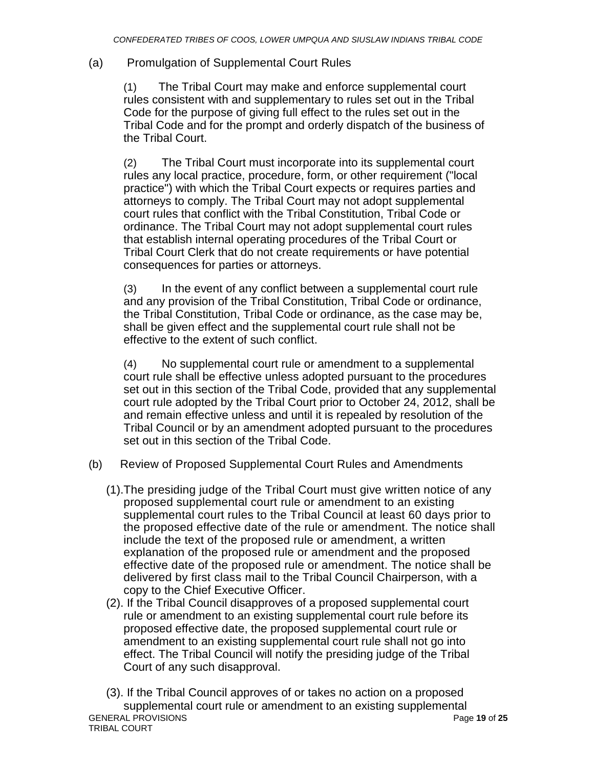# (a) Promulgation of Supplemental Court Rules

(1) The Tribal Court may make and enforce supplemental court rules consistent with and supplementary to rules set out in the Tribal Code for the purpose of giving full effect to the rules set out in the Tribal Code and for the prompt and orderly dispatch of the business of the Tribal Court.

(2) The Tribal Court must incorporate into its supplemental court rules any local practice, procedure, form, or other requirement ("local practice") with which the Tribal Court expects or requires parties and attorneys to comply. The Tribal Court may not adopt supplemental court rules that conflict with the Tribal Constitution, Tribal Code or ordinance. The Tribal Court may not adopt supplemental court rules that establish internal operating procedures of the Tribal Court or Tribal Court Clerk that do not create requirements or have potential consequences for parties or attorneys.

(3) In the event of any conflict between a supplemental court rule and any provision of the Tribal Constitution, Tribal Code or ordinance, the Tribal Constitution, Tribal Code or ordinance, as the case may be, shall be given effect and the supplemental court rule shall not be effective to the extent of such conflict.

(4) No supplemental court rule or amendment to a supplemental court rule shall be effective unless adopted pursuant to the procedures set out in this section of the Tribal Code, provided that any supplemental court rule adopted by the Tribal Court prior to October 24, 2012, shall be and remain effective unless and until it is repealed by resolution of the Tribal Council or by an amendment adopted pursuant to the procedures set out in this section of the Tribal Code.

- (b) Review of Proposed Supplemental Court Rules and Amendments
	- (1).The presiding judge of the Tribal Court must give written notice of any proposed supplemental court rule or amendment to an existing supplemental court rules to the Tribal Council at least 60 days prior to the proposed effective date of the rule or amendment. The notice shall include the text of the proposed rule or amendment, a written explanation of the proposed rule or amendment and the proposed effective date of the proposed rule or amendment. The notice shall be delivered by first class mail to the Tribal Council Chairperson, with a copy to the Chief Executive Officer.
	- (2). If the Tribal Council disapproves of a proposed supplemental court rule or amendment to an existing supplemental court rule before its proposed effective date, the proposed supplemental court rule or amendment to an existing supplemental court rule shall not go into effect. The Tribal Council will notify the presiding judge of the Tribal Court of any such disapproval.

GENERAL PROVISIONS Page **19** of **25** TRIBAL COURT (3). If the Tribal Council approves of or takes no action on a proposed supplemental court rule or amendment to an existing supplemental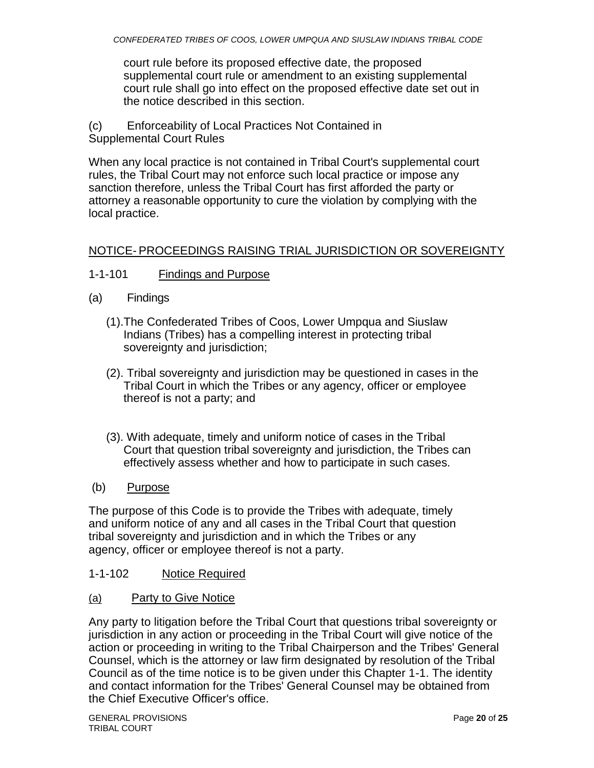court rule before its proposed effective date, the proposed supplemental court rule or amendment to an existing supplemental court rule shall go into effect on the proposed effective date set out in the notice described in this section.

(c) Enforceability of Local Practices Not Contained in Supplemental Court Rules

When any local practice is not contained in Tribal Court's supplemental court rules, the Tribal Court may not enforce such local practice or impose any sanction therefore, unless the Tribal Court has first afforded the party or attorney a reasonable opportunity to cure the violation by complying with the local practice.

# NOTICE- PROCEEDINGS RAISING TRIAL JURISDICTION OR SOVEREIGNTY

- 1-1-101 Findings and Purpose
- (a) Findings
	- (1).The Confederated Tribes of Coos, Lower Umpqua and Siuslaw Indians (Tribes) has a compelling interest in protecting tribal sovereignty and jurisdiction;
	- (2). Tribal sovereignty and jurisdiction may be questioned in cases in the Tribal Court in which the Tribes or any agency, officer or employee thereof is not a party; and
	- (3). With adequate, timely and uniform notice of cases in the Tribal Court that question tribal sovereignty and jurisdiction, the Tribes can effectively assess whether and how to participate in such cases.
- (b) Purpose

The purpose of this Code is to provide the Tribes with adequate, timely and uniform notice of any and all cases in the Tribal Court that question tribal sovereignty and jurisdiction and in which the Tribes or any agency, officer or employee thereof is not a party.

# 1-1-102 Notice Required

(a) Party to Give Notice

Any party to litigation before the Tribal Court that questions tribal sovereignty or jurisdiction in any action or proceeding in the Tribal Court will give notice of the action or proceeding in writing to the Tribal Chairperson and the Tribes' General Counsel, which is the attorney or law firm designated by resolution of the Tribal Council as of the time notice is to be given under this Chapter 1-1. The identity and contact information for the Tribes' General Counsel may be obtained from the Chief Executive Officer's office.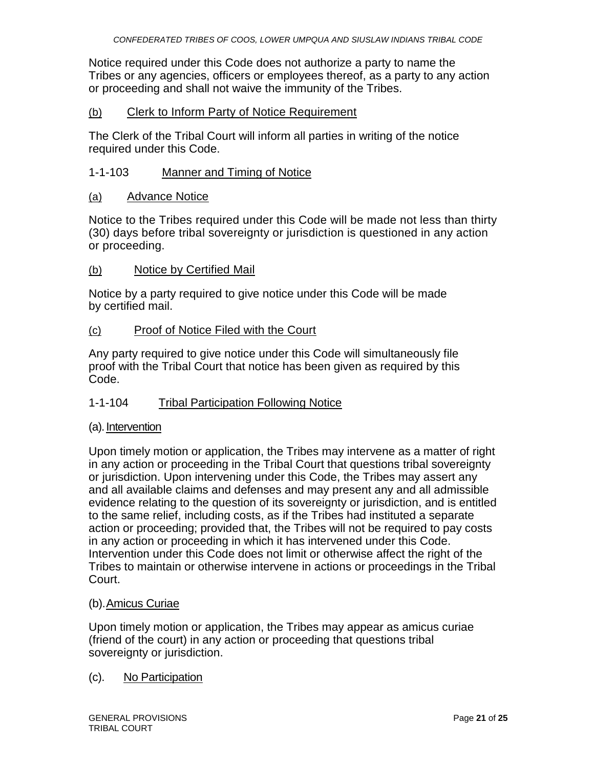Notice required under this Code does not authorize a party to name the Tribes or any agencies, officers or employees thereof, as a party to any action or proceeding and shall not waive the immunity of the Tribes.

### (b) Clerk to Inform Party of Notice Requirement

The Clerk of the Tribal Court will inform all parties in writing of the notice required under this Code.

### 1-1-103 Manner and Timing of Notice

### (a) Advance Notice

Notice to the Tribes required under this Code will be made not less than thirty (30) days before tribal sovereignty or jurisdiction is questioned in any action or proceeding.

### (b) Notice by Certified Mail

Notice by a party required to give notice under this Code will be made by certified mail.

### (c) Proof of Notice Filed with the Court

Any party required to give notice under this Code will simultaneously file proof with the Tribal Court that notice has been given as required by this Code.

### 1-1-104 Tribal Participation Following Notice

### (a). Intervention

Upon timely motion or application, the Tribes may intervene as a matter of right in any action or proceeding in the Tribal Court that questions tribal sovereignty or jurisdiction. Upon intervening under this Code, the Tribes may assert any and all available claims and defenses and may present any and all admissible evidence relating to the question of its sovereignty or jurisdiction, and is entitled to the same relief, including costs, as if the Tribes had instituted a separate action or proceeding; provided that, the Tribes will not be required to pay costs in any action or proceeding in which it has intervened under this Code. Intervention under this Code does not limit or otherwise affect the right of the Tribes to maintain or otherwise intervene in actions or proceedings in the Tribal Court.

### (b).Amicus Curiae

Upon timely motion or application, the Tribes may appear as amicus curiae (friend of the court) in any action or proceeding that questions tribal sovereignty or jurisdiction.

### (c). No Participation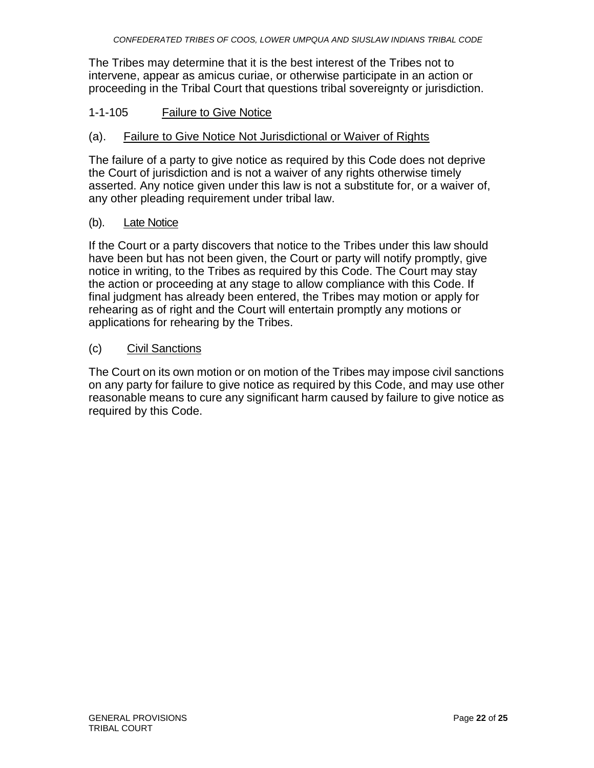The Tribes may determine that it is the best interest of the Tribes not to intervene, appear as amicus curiae, or otherwise participate in an action or proceeding in the Tribal Court that questions tribal sovereignty or jurisdiction.

### 1-1-105 Failure to Give Notice

### (a). Failure to Give Notice Not Jurisdictional or Waiver of Rights

The failure of a party to give notice as required by this Code does not deprive the Court of jurisdiction and is not a waiver of any rights otherwise timely asserted. Any notice given under this law is not a substitute for, or a waiver of, any other pleading requirement under tribal law.

### (b). Late Notice

If the Court or a party discovers that notice to the Tribes under this law should have been but has not been given, the Court or party will notify promptly, give notice in writing, to the Tribes as required by this Code. The Court may stay the action or proceeding at any stage to allow compliance with this Code. If final judgment has already been entered, the Tribes may motion or apply for rehearing as of right and the Court will entertain promptly any motions or applications for rehearing by the Tribes.

### (c) Civil Sanctions

The Court on its own motion or on motion of the Tribes may impose civil sanctions on any party for failure to give notice as required by this Code, and may use other reasonable means to cure any significant harm caused by failure to give notice as required by this Code.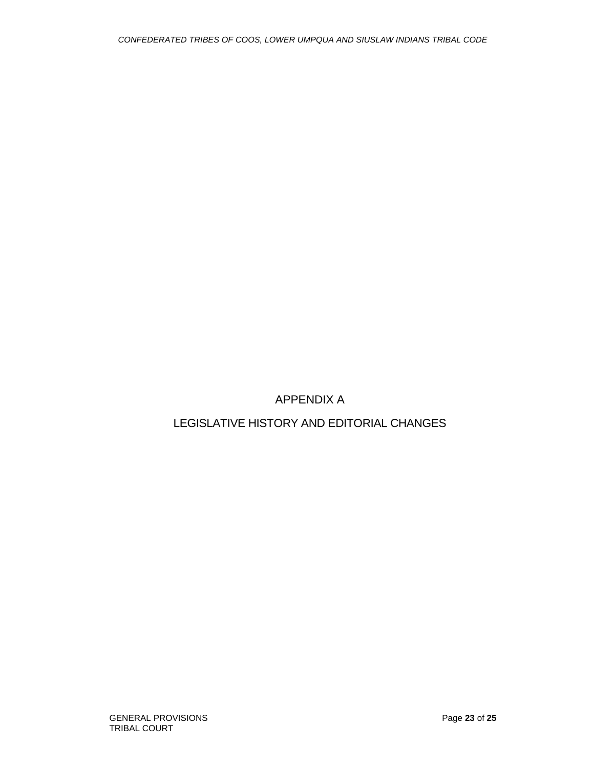APPENDIX A

LEGISLATIVE HISTORY AND EDITORIAL CHANGES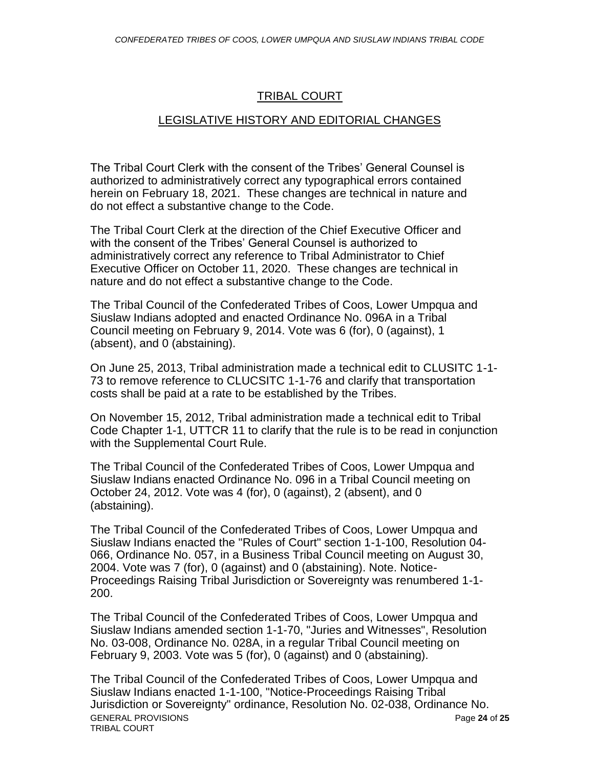### TRIBAL COURT

### LEGISLATIVE HISTORY AND EDITORIAL CHANGES

The Tribal Court Clerk with the consent of the Tribes' General Counsel is authorized to administratively correct any typographical errors contained herein on February 18, 2021. These changes are technical in nature and do not effect a substantive change to the Code.

The Tribal Court Clerk at the direction of the Chief Executive Officer and with the consent of the Tribes' General Counsel is authorized to administratively correct any reference to Tribal Administrator to Chief Executive Officer on October 11, 2020. These changes are technical in nature and do not effect a substantive change to the Code.

The Tribal Council of the Confederated Tribes of Coos, Lower Umpqua and Siuslaw Indians adopted and enacted Ordinance No. 096A in a Tribal Council meeting on February 9, 2014. Vote was 6 (for), 0 (against), 1 (absent), and 0 (abstaining).

On June 25, 2013, Tribal administration made a technical edit to CLUSITC 1-1- 73 to remove reference to CLUCSITC 1-1-76 and clarify that transportation costs shall be paid at a rate to be established by the Tribes.

On November 15, 2012, Tribal administration made a technical edit to Tribal Code Chapter 1-1, UTTCR 11 to clarify that the rule is to be read in conjunction with the Supplemental Court Rule.

The Tribal Council of the Confederated Tribes of Coos, Lower Umpqua and Siuslaw Indians enacted Ordinance No. 096 in a Tribal Council meeting on October 24, 2012. Vote was 4 (for), 0 (against), 2 (absent), and 0 (abstaining).

The Tribal Council of the Confederated Tribes of Coos, Lower Umpqua and Siuslaw Indians enacted the "Rules of Court" section 1-1-100, Resolution 04- 066, Ordinance No. 057, in a Business Tribal Council meeting on August 30, 2004. Vote was 7 (for), 0 (against) and 0 (abstaining). Note. Notice-Proceedings Raising Tribal Jurisdiction or Sovereignty was renumbered 1-1- 200.

The Tribal Council of the Confederated Tribes of Coos, Lower Umpqua and Siuslaw Indians amended section 1-1-70, "Juries and Witnesses", Resolution No. 03-008, Ordinance No. 028A, in a regular Tribal Council meeting on February 9, 2003. Vote was 5 (for), 0 (against) and 0 (abstaining).

GENERAL PROVISIONS Page **24** of **25** TRIBAL COURT The Tribal Council of the Confederated Tribes of Coos, Lower Umpqua and Siuslaw Indians enacted 1-1-100, "Notice-Proceedings Raising Tribal Jurisdiction or Sovereignty" ordinance, Resolution No. 02-038, Ordinance No.